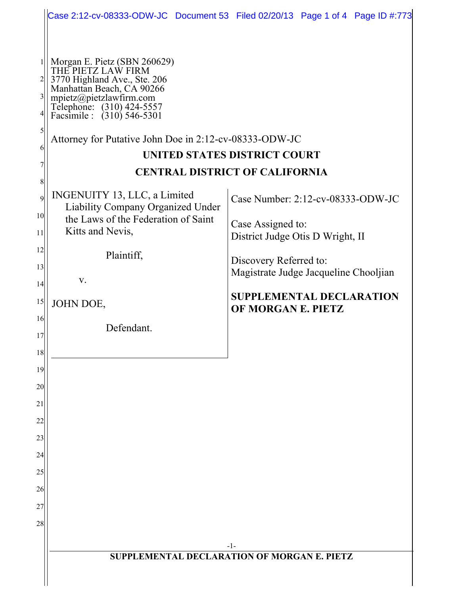|                                   |                                                                                                                                                                                                       | Case 2:12-cv-08333-ODW-JC Document 53 Filed 02/20/13 Page 1 of 4 Page ID #:773 |
|-----------------------------------|-------------------------------------------------------------------------------------------------------------------------------------------------------------------------------------------------------|--------------------------------------------------------------------------------|
|                                   |                                                                                                                                                                                                       |                                                                                |
| $\overline{c}$                    | Morgan E. Pietz (SBN 260629)<br>THE PIETZ LAW FIRM<br>3770 Highland Ave., Ste. 206<br>Manhattan Beach, CA 90266<br>mpietz@pietzlawfirm.com<br>Telephone: (310) 424-5557<br>Facsimile : (310) 546-5301 |                                                                                |
| 5<br>6                            | Attorney for Putative John Doe in 2:12-cv-08333-ODW-JC                                                                                                                                                |                                                                                |
|                                   | UNITED STATES DISTRICT COURT                                                                                                                                                                          |                                                                                |
|                                   | <b>CENTRAL DISTRICT OF CALIFORNIA</b>                                                                                                                                                                 |                                                                                |
| $\overline{Q}$<br>10 <sup>1</sup> | INGENUITY 13, LLC, a Limited<br>Liability Company Organized Under<br>the Laws of the Federation of Saint                                                                                              | Case Number: 2:12-cv-08333-ODW-JC                                              |
| 11                                | Kitts and Nevis,                                                                                                                                                                                      | Case Assigned to:<br>District Judge Otis D Wright, II                          |
| 12<br>13                          | Plaintiff,                                                                                                                                                                                            | Discovery Referred to:<br>Magistrate Judge Jacqueline Chooljian                |
| 14                                | V.                                                                                                                                                                                                    |                                                                                |
| 15<br>16                          | JOHN DOE,                                                                                                                                                                                             | <b>SUPPLEMENTAL DECLARATION</b><br>OF MORGAN E. PIETZ                          |
| 17                                | Defendant.                                                                                                                                                                                            |                                                                                |
| 18                                |                                                                                                                                                                                                       |                                                                                |
| 19                                |                                                                                                                                                                                                       |                                                                                |
| 20                                |                                                                                                                                                                                                       |                                                                                |
| 21<br>22                          |                                                                                                                                                                                                       |                                                                                |
| 23                                |                                                                                                                                                                                                       |                                                                                |
| 24                                |                                                                                                                                                                                                       |                                                                                |
| 25                                |                                                                                                                                                                                                       |                                                                                |
| 26                                |                                                                                                                                                                                                       |                                                                                |
| 27                                |                                                                                                                                                                                                       |                                                                                |
| 28                                |                                                                                                                                                                                                       |                                                                                |
|                                   | -1-<br>SUPPLEMENTAL DECLARATION OF MORGAN E. PIETZ                                                                                                                                                    |                                                                                |
|                                   |                                                                                                                                                                                                       |                                                                                |
|                                   |                                                                                                                                                                                                       |                                                                                |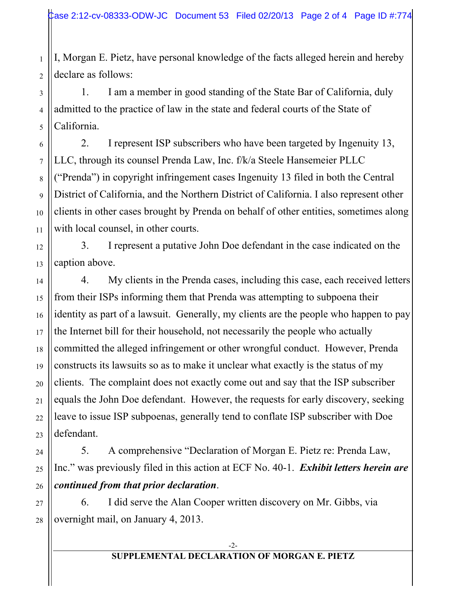I, Morgan E. Pietz, have personal knowledge of the facts alleged herein and hereby declare as follows:

1. I am a member in good standing of the State Bar of California, duly admitted to the practice of law in the state and federal courts of the State of California.

2. I represent ISP subscribers who have been targeted by Ingenuity 13, LLC, through its counsel Prenda Law, Inc. f/k/a Steele Hansemeier PLLC ("Prenda") in copyright infringement cases Ingenuity 13 filed in both the Central District of California, and the Northern District of California. I also represent other clients in other cases brought by Prenda on behalf of other entities, sometimes along with local counsel, in other courts.

3. I represent a putative John Doe defendant in the case indicated on the caption above.

4. My clients in the Prenda cases, including this case, each received letters from their ISPs informing them that Prenda was attempting to subpoena their identity as part of a lawsuit. Generally, my clients are the people who happen to pay the Internet bill for their household, not necessarily the people who actually committed the alleged infringement or other wrongful conduct. However, Prenda constructs its lawsuits so as to make it unclear what exactly is the status of my clients. The complaint does not exactly come out and say that the ISP subscriber equals the John Doe defendant. However, the requests for early discovery, seeking leave to issue ISP subpoenas, generally tend to conflate ISP subscriber with Doe defendant.

5. A comprehensive "Declaration of Morgan E. Pietz re: Prenda Law, Inc." was previously filed in this action at ECF No. 40-1. *Exhibit letters herein are continued from that prior declaration*.

6. I did serve the Alan Cooper written discovery on Mr. Gibbs, via overnight mail, on January 4, 2013.

1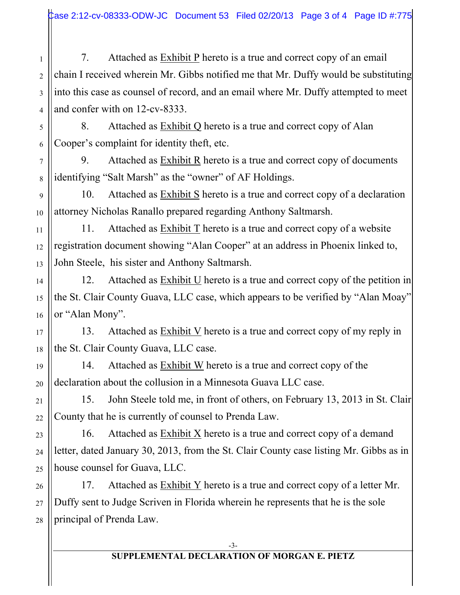7. Attached as Exhibit P hereto is a true and correct copy of an email chain I received wherein Mr. Gibbs notified me that Mr. Duffy would be substituting into this case as counsel of record, and an email where Mr. Duffy attempted to meet and confer with on 12-cv-8333.

8. Attached as Exhibit Q hereto is a true and correct copy of Alan Cooper's complaint for identity theft, etc.

1

2

3

4

5

6

7

8

11

13

14

15

16

17

18

19

20

21

22

23

24

25

9. Attached as Exhibit R hereto is a true and correct copy of documents identifying "Salt Marsh" as the "owner" of AF Holdings.

9 10 10. Attached as Exhibit S hereto is a true and correct copy of a declaration attorney Nicholas Ranallo prepared regarding Anthony Saltmarsh.

12 11. Attached as  $Exhibit T$  hereto is a true and correct copy of a website registration document showing "Alan Cooper" at an address in Phoenix linked to, John Steele, his sister and Anthony Saltmarsh.

12. Attached as  $Exhibit U$  hereto is a true and correct copy of the petition in the St. Clair County Guava, LLC case, which appears to be verified by "Alan Moay" or "Alan Mony".

13. Attached as  $Exhibit V$  hereto is a true and correct copy of my reply in the St. Clair County Guava, LLC case.

14. Attached as Exhibit W hereto is a true and correct copy of the declaration about the collusion in a Minnesota Guava LLC case.

15. John Steele told me, in front of others, on February 13, 2013 in St. Clair County that he is currently of counsel to Prenda Law.

16. Attached as Exhibit X hereto is a true and correct copy of a demand letter, dated January 30, 2013, from the St. Clair County case listing Mr. Gibbs as in house counsel for Guava, LLC.

26 27 28 17. Attached as  $Exhibit Y$  hereto is a true and correct copy of a letter Mr. Duffy sent to Judge Scriven in Florida wherein he represents that he is the sole principal of Prenda Law.

## **SUPPLEMENTAL DECLARATION OF MORGAN E. PIETZ**